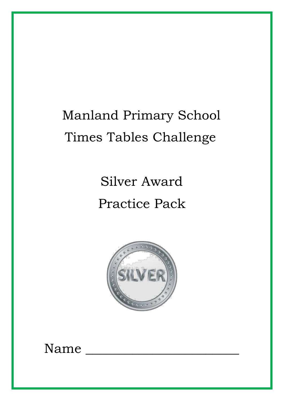# Manland Primary School Times Tables Challenge

Silver Award Practice Pack



Name \_\_\_\_\_\_\_\_\_\_\_\_\_\_\_\_\_\_\_\_\_\_\_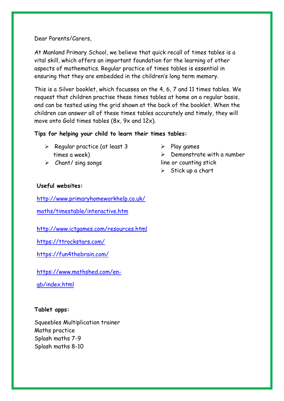Dear Parents/Carers,

At Manland Primary School, we believe that quick recall of times tables is a vital skill, which offers an important foundation for the learning of other aspects of mathematics. Regular practice of times tables is essential in ensuring that they are embedded in the children's long term memory.

This is a Silver booklet, which focusses on the 4, 6, 7 and 11 times tables. We request that children practise these times tables at home on a regular basis, and can be tested using the grid shown at the back of the booklet. When the children can answer all of these times tables accurately and timely, they will move onto Gold times tables (8x, 9x and 12x).

### **Tips for helping your child to learn their times tables:**

- $\triangleright$  Regular practice (at least 3 times a week)
- ➢ Chant/ sing songs
- $\triangleright$  Play games
- $\triangleright$  Demonstrate with a number line or counting stick
- $\triangleright$  Stick up a chart

### **Useful websites:**

[http://www.primaryhomeworkhelp.co.uk/](http://www.primaryhomeworkhelp.co.uk/maths/timestable/interactive.htm)

[maths/timestable/interactive.htm](http://www.primaryhomeworkhelp.co.uk/maths/timestable/interactive.htm)

<http://www.ictgames.com/resources.html>

<https://ttrockstars.com/>

<https://fun4thebrain.com/>

[https://www.mathshed.com/en-](https://www.mathshed.com/en-gb/index.html)

[gb/index.html](https://www.mathshed.com/en-gb/index.html)

#### **Tablet apps:**

Squeebles Multiplication trainer Maths practice Splash maths 7-9 Splash maths 8-10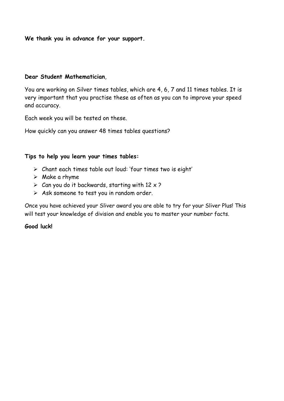**We thank you in advance for your support.**

#### **Dear Student Mathematician**,

You are working on Silver times tables, which are 4, 6, 7 and 11 times tables. It is very important that you practise these as often as you can to improve your speed and accuracy.

Each week you will be tested on these.

How quickly can you answer 48 times tables questions?

### **Tips to help you learn your times tables:**

- ➢ Chant each times table out loud: 'four times two is eight'
- $\triangleright$  Make a rhyme
- $\triangleright$  Can you do it backwards, starting with 12 x ?
- ➢ Ask someone to test you in random order.

Once you have achieved your Sliver award you are able to try for your Sliver Plus! This will test your knowledge of division and enable you to master your number facts.

#### **Good luck!**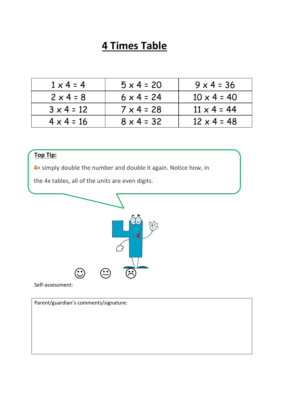| $1 \times 4 = 4$  | $5 \times 4 = 20$ | $9 \times 4 = 36$  |
|-------------------|-------------------|--------------------|
| $2 \times 4 = 8$  | $6 \times 4 = 24$ | $10 \times 4 = 40$ |
| $3 \times 4 = 12$ | $7 \times 4 = 28$ | $11 \times 4 = 44$ |
| $4 \times 4 = 16$ | $8 \times 4 = 32$ | $12 \times 4 = 48$ |

### **Top Tip:**

**4×** simply double the number and double it again. Notice how, in

the 4x tables, all of the units are even digits.



Self-assessment: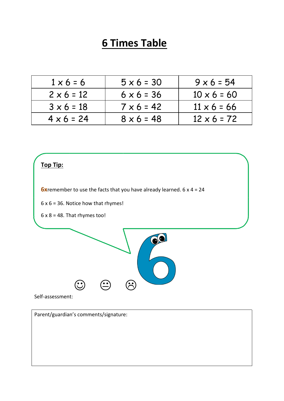| $1 \times 6 = 6$  | $5 \times 6 = 30$ | $9 \times 6 = 54$  |
|-------------------|-------------------|--------------------|
| $2 \times 6 = 12$ | $6 \times 6 = 36$ | $10 \times 6 = 60$ |
| $3 \times 6 = 18$ | $7 \times 6 = 42$ | $11 \times 6 = 66$ |
| $4 \times 6 = 24$ | $8 \times 6 = 48$ | $12 \times 6 = 72$ |



**6x** remember to use the facts that you have already learned. 6 x 4 = 24

 $6 \times 6 = 36$ . Notice how that rhymes!

 $6 \times 8 = 48$ . That rhymes too!



Self-assessment: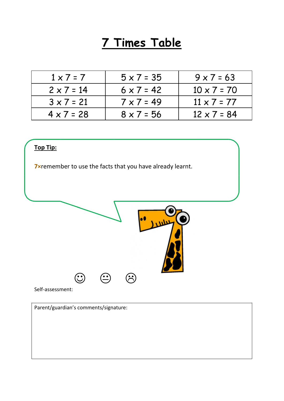| $1 \times 7 = 7$  | $5 \times 7 = 35$ | $9 \times 7 = 63$  |
|-------------------|-------------------|--------------------|
| $2 \times 7 = 14$ | $6 \times 7 = 42$ | $10 \times 7 = 70$ |
| $3 \times 7 = 21$ | $7 \times 7 = 49$ | $11 \times 7 = 77$ |
| $4 \times 7 = 28$ | $8 \times 7 = 56$ | $12 \times 7 = 84$ |

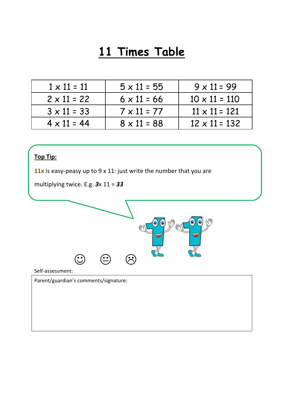| $1 \times 11 = 11$ | $5 \times 11 = 55$ | $9 \times 11 = 99$   |
|--------------------|--------------------|----------------------|
| $2 \times 11 = 22$ | $6 \times 11 = 66$ | $10 \times 11 = 110$ |
| $3 \times 11 = 33$ | $7 \times 11 = 77$ | $11 \times 11 = 121$ |
| $4 \times 11 = 44$ | $8 \times 11 = 88$ | $12 \times 11 = 132$ |

### **Top Tip:**

**11x** is easy-peasy up to 9 x 11: just write the number that you are

multiplying twice. E.g. *3*x 11 = *33*



Self-assessment: